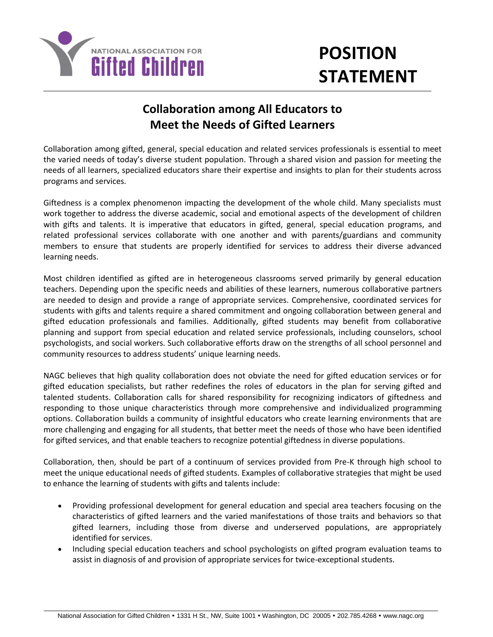

## **POSITION STATEMENT**

## **Collaboration among All Educators to Meet the Needs of Gifted Learners**

Collaboration among gifted, general, special education and related services professionals is essential to meet the varied needs of today's diverse student population. Through a shared vision and passion for meeting the needs of all learners, specialized educators share their expertise and insights to plan for their students across programs and services.

Giftedness is a complex phenomenon impacting the development of the whole child. Many specialists must work together to address the diverse academic, social and emotional aspects of the development of children with gifts and talents. It is imperative that educators in gifted, general, special education programs, and related professional services collaborate with one another and with parents/guardians and community members to ensure that students are properly identified for services to address their diverse advanced learning needs.

Most children identified as gifted are in heterogeneous classrooms served primarily by general education teachers. Depending upon the specific needs and abilities of these learners, numerous collaborative partners are needed to design and provide a range of appropriate services. Comprehensive, coordinated services for students with gifts and talents require a shared commitment and ongoing collaboration between general and gifted education professionals and families. Additionally, gifted students may benefit from collaborative planning and support from special education and related service professionals, including counselors, school psychologists, and social workers. Such collaborative efforts draw on the strengths of all school personnel and community resources to address students' unique learning needs.

NAGC believes that high quality collaboration does not obviate the need for gifted education services or for gifted education specialists, but rather redefines the roles of educators in the plan for serving gifted and talented students. Collaboration calls for shared responsibility for recognizing indicators of giftedness and responding to those unique characteristics through more comprehensive and individualized programming options. Collaboration builds a community of insightful educators who create learning environments that are more challenging and engaging for all students, that better meet the needs of those who have been identified for gifted services, and that enable teachers to recognize potential giftedness in diverse populations.

Collaboration, then, should be part of a continuum of services provided from Pre-K through high school to meet the unique educational needs of gifted students. Examples of collaborative strategies that might be used to enhance the learning of students with gifts and talents include:

- Providing professional development for general education and special area teachers focusing on the characteristics of gifted learners and the varied manifestations of those traits and behaviors so that gifted learners, including those from diverse and underserved populations, are appropriately identified for services.
- Including special education teachers and school psychologists on gifted program evaluation teams to assist in diagnosis of and provision of appropriate services for twice-exceptional students.